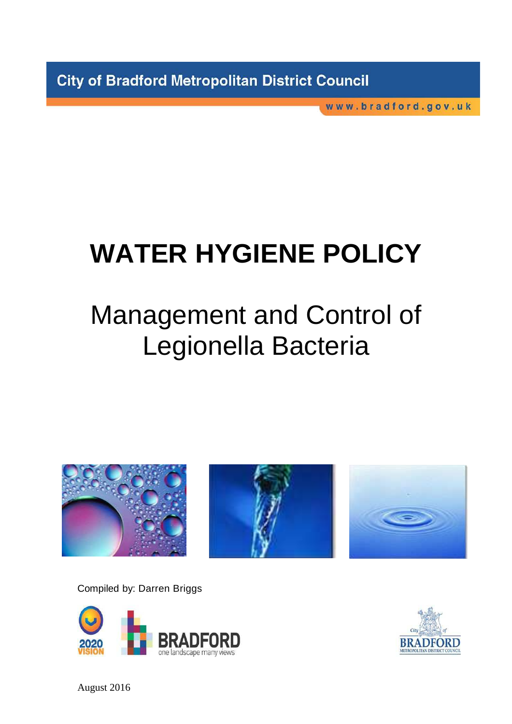**City of Bradford Metropolitan District Council** 

www.bradford.gov.uk

# **WATER HYGIENE POLICY**

## Management and Control of Legionella Bacteria







Compiled by: Darren Briggs





August 2016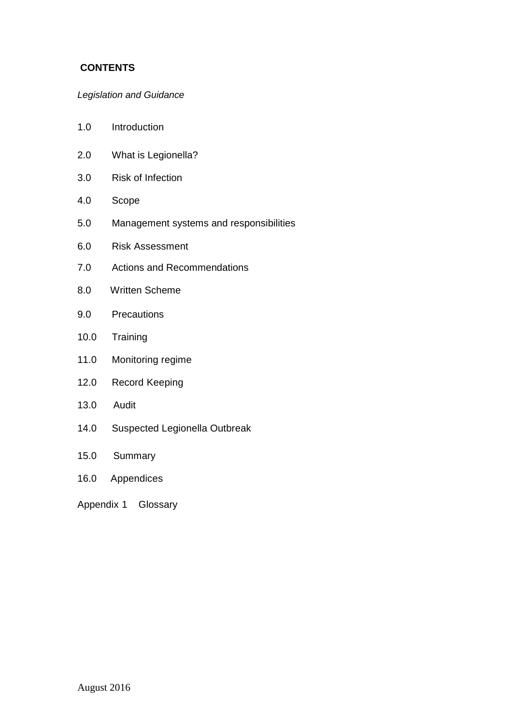## **CONTENTS**

## Legislation and Guidance

- 1.0 Introduction
- 2.0 What is Legionella?
- 3.0 Risk of Infection
- 4.0 Scope
- 5.0 Management systems and responsibilities
- 6.0 Risk Assessment
- 7.0 Actions and Recommendations
- 8.0 Written Scheme
- 9.0 Precautions
- 10.0 Training
- 11.0 Monitoring regime
- 12.0 Record Keeping
- 13.0 Audit
- 14.0 Suspected Legionella Outbreak
- 15.0 Summary
- 16.0 Appendices

Appendix 1 Glossary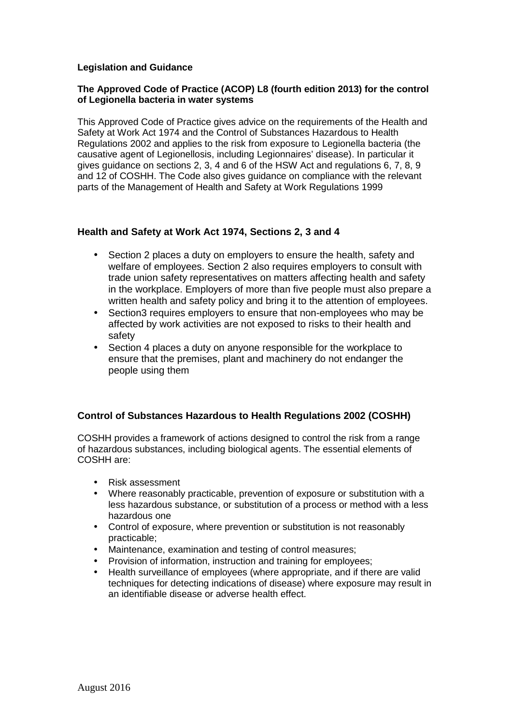## **Legislation and Guidance**

## **The Approved Code of Practice (ACOP) L8 (fourth edition 2013) for the control of Legionella bacteria in water systems**

This Approved Code of Practice gives advice on the requirements of the Health and Safety at Work Act 1974 and the Control of Substances Hazardous to Health Regulations 2002 and applies to the risk from exposure to Legionella bacteria (the causative agent of Legionellosis, including Legionnaires' disease). In particular it gives guidance on sections 2, 3, 4 and 6 of the HSW Act and regulations 6, 7, 8, 9 and 12 of COSHH. The Code also gives guidance on compliance with the relevant parts of the Management of Health and Safety at Work Regulations 1999

## **Health and Safety at Work Act 1974, Sections 2, 3 and 4**

- Section 2 places a duty on employers to ensure the health, safety and welfare of employees. Section 2 also requires employers to consult with trade union safety representatives on matters affecting health and safety in the workplace. Employers of more than five people must also prepare a written health and safety policy and bring it to the attention of employees.
- Section3 requires employers to ensure that non-employees who may be affected by work activities are not exposed to risks to their health and safety
- Section 4 places a duty on anyone responsible for the workplace to ensure that the premises, plant and machinery do not endanger the people using them

## **Control of Substances Hazardous to Health Regulations 2002 (COSHH)**

COSHH provides a framework of actions designed to control the risk from a range of hazardous substances, including biological agents. The essential elements of COSHH are:

- Risk assessment
- Where reasonably practicable, prevention of exposure or substitution with a less hazardous substance, or substitution of a process or method with a less hazardous one
- Control of exposure, where prevention or substitution is not reasonably practicable;
- Maintenance, examination and testing of control measures;
- Provision of information, instruction and training for employees;
- Health surveillance of employees (where appropriate, and if there are valid techniques for detecting indications of disease) where exposure may result in an identifiable disease or adverse health effect.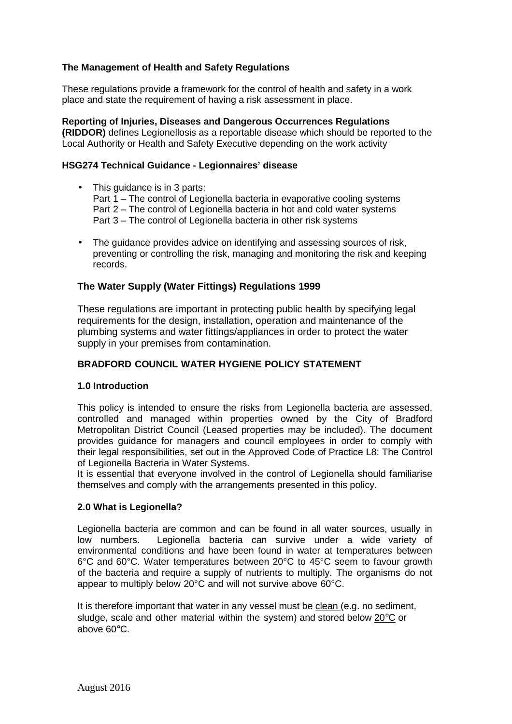## **The Management of Health and Safety Regulations**

These regulations provide a framework for the control of health and safety in a work place and state the requirement of having a risk assessment in place.

**Reporting of Injuries, Diseases and Dangerous Occurrences Regulations (RIDDOR)** defines Legionellosis as a reportable disease which should be reported to the Local Authority or Health and Safety Executive depending on the work activity

#### **HSG274 Technical Guidance - Legionnaires' disease**

• This quidance is in 3 parts:

Part 1 – The control of Legionella bacteria in evaporative cooling systems Part 2 – The control of Legionella bacteria in hot and cold water systems Part 3 – The control of Legionella bacteria in other risk systems

• The guidance provides advice on identifying and assessing sources of risk, preventing or controlling the risk, managing and monitoring the risk and keeping records.

#### **The Water Supply (Water Fittings) Regulations 1999**

These regulations are important in protecting public health by specifying legal requirements for the design, installation, operation and maintenance of the plumbing systems and water fittings/appliances in order to protect the water supply in your premises from contamination.

#### **BRADFORD COUNCIL WATER HYGIENE POLICY STATEMENT**

#### **1.0 Introduction**

This policy is intended to ensure the risks from Legionella bacteria are assessed, controlled and managed within properties owned by the City of Bradford Metropolitan District Council (Leased properties may be included). The document provides guidance for managers and council employees in order to comply with their legal responsibilities, set out in the Approved Code of Practice L8: The Control of Legionella Bacteria in Water Systems.

It is essential that everyone involved in the control of Legionella should familiarise themselves and comply with the arrangements presented in this policy.

#### **2.0 What is Legionella?**

Legionella bacteria are common and can be found in all water sources, usually in low numbers. Legionella bacteria can survive under a wide variety of environmental conditions and have been found in water at temperatures between 6°C and 60°C. Water temperatures between 20°C to 45°C seem to favour growth of the bacteria and require a supply of nutrients to multiply. The organisms do not appear to multiply below 20°C and will not survive above 60°C.

It is therefore important that water in any vessel must be clean (e.g. no sediment, sludge, scale and other material within the system) and stored below 20°C or above 60°C.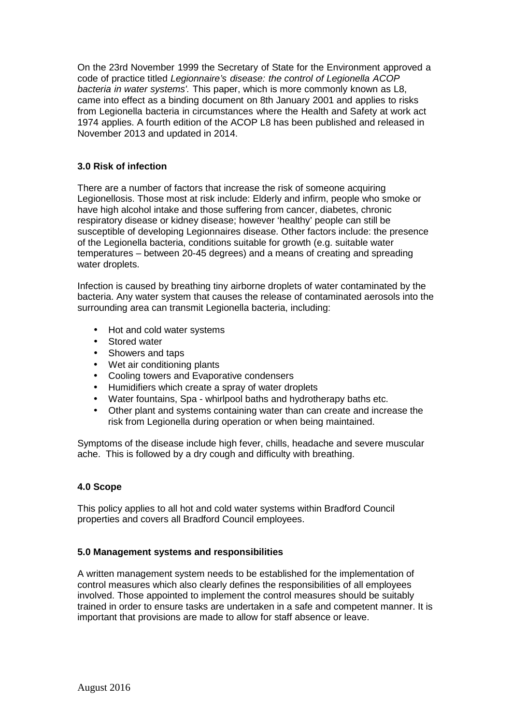On the 23rd November 1999 the Secretary of State for the Environment approved a code of practice titled Legionnaire's disease: the control of Legionella ACOP bacteria in water systems'. This paper, which is more commonly known as L8, came into effect as a binding document on 8th January 2001 and applies to risks from Legionella bacteria in circumstances where the Health and Safety at work act 1974 applies. A fourth edition of the ACOP L8 has been published and released in November 2013 and updated in 2014.

## **3.0 Risk of infection**

There are a number of factors that increase the risk of someone acquiring Legionellosis. Those most at risk include: Elderly and infirm, people who smoke or have high alcohol intake and those suffering from cancer, diabetes, chronic respiratory disease or kidney disease; however 'healthy' people can still be susceptible of developing Legionnaires disease. Other factors include: the presence of the Legionella bacteria, conditions suitable for growth (e.g. suitable water temperatures – between 20-45 degrees) and a means of creating and spreading water droplets.

Infection is caused by breathing tiny airborne droplets of water contaminated by the bacteria. Any water system that causes the release of contaminated aerosols into the surrounding area can transmit Legionella bacteria, including:

- Hot and cold water systems
- Stored water
- Showers and taps
- Wet air conditioning plants
- Cooling towers and Evaporative condensers
- Humidifiers which create a spray of water droplets
- Water fountains, Spa whirlpool baths and hydrotherapy baths etc.
- Other plant and systems containing water than can create and increase the risk from Legionella during operation or when being maintained.

Symptoms of the disease include high fever, chills, headache and severe muscular ache. This is followed by a dry cough and difficulty with breathing.

#### **4.0 Scope**

This policy applies to all hot and cold water systems within Bradford Council properties and covers all Bradford Council employees.

#### **5.0 Management systems and responsibilities**

A written management system needs to be established for the implementation of control measures which also clearly defines the responsibilities of all employees involved. Those appointed to implement the control measures should be suitably trained in order to ensure tasks are undertaken in a safe and competent manner. It is important that provisions are made to allow for staff absence or leave.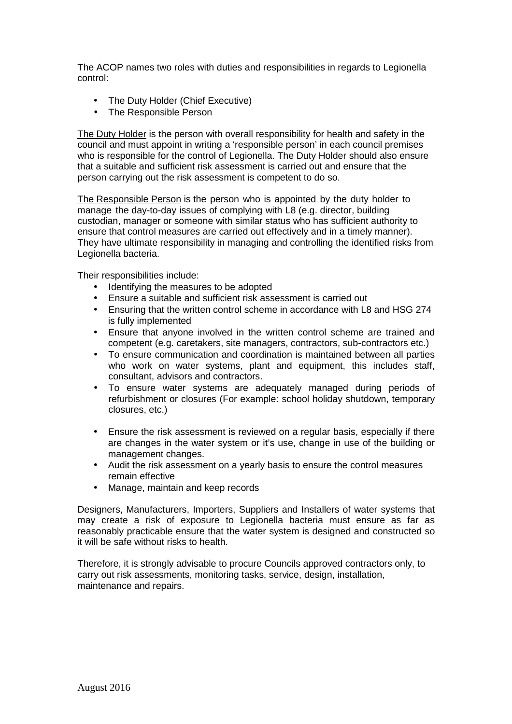The ACOP names two roles with duties and responsibilities in regards to Legionella control:

- The Duty Holder (Chief Executive)
- The Responsible Person

The Duty Holder is the person with overall responsibility for health and safety in the council and must appoint in writing a 'responsible person' in each council premises who is responsible for the control of Legionella. The Duty Holder should also ensure that a suitable and sufficient risk assessment is carried out and ensure that the person carrying out the risk assessment is competent to do so.

The Responsible Person is the person who is appointed by the duty holder to manage the day-to-day issues of complying with L8 (e.g. director, building custodian, manager or someone with similar status who has sufficient authority to ensure that control measures are carried out effectively and in a timely manner). They have ultimate responsibility in managing and controlling the identified risks from Legionella bacteria.

Their responsibilities include:

- Identifying the measures to be adopted
- Ensure a suitable and sufficient risk assessment is carried out
- Ensuring that the written control scheme in accordance with L8 and HSG 274 is fully implemented
- Ensure that anyone involved in the written control scheme are trained and competent (e.g. caretakers, site managers, contractors, sub-contractors etc.)
- To ensure communication and coordination is maintained between all parties who work on water systems, plant and equipment, this includes staff, consultant, advisors and contractors.
- To ensure water systems are adequately managed during periods of refurbishment or closures (For example: school holiday shutdown, temporary closures, etc.)
- Ensure the risk assessment is reviewed on a regular basis, especially if there are changes in the water system or it's use, change in use of the building or management changes.
- Audit the risk assessment on a yearly basis to ensure the control measures remain effective
- Manage, maintain and keep records

Designers, Manufacturers, Importers, Suppliers and Installers of water systems that may create a risk of exposure to Legionella bacteria must ensure as far as reasonably practicable ensure that the water system is designed and constructed so it will be safe without risks to health.

Therefore, it is strongly advisable to procure Councils approved contractors only, to carry out risk assessments, monitoring tasks, service, design, installation, maintenance and repairs.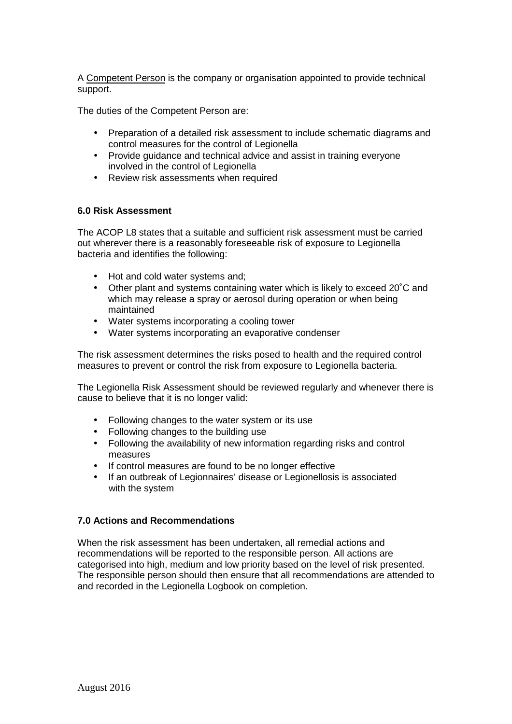A Competent Person is the company or organisation appointed to provide technical support.

The duties of the Competent Person are:

- Preparation of a detailed risk assessment to include schematic diagrams and control measures for the control of Legionella
- Provide guidance and technical advice and assist in training everyone involved in the control of Legionella
- Review risk assessments when required

#### **6.0 Risk Assessment**

The ACOP L8 states that a suitable and sufficient risk assessment must be carried out wherever there is a reasonably foreseeable risk of exposure to Legionella bacteria and identifies the following:

- Hot and cold water systems and;
- Other plant and systems containing water which is likely to exceed 20˚C and which may release a spray or aerosol during operation or when being maintained
- Water systems incorporating a cooling tower
- Water systems incorporating an evaporative condenser

The risk assessment determines the risks posed to health and the required control measures to prevent or control the risk from exposure to Legionella bacteria.

The Legionella Risk Assessment should be reviewed regularly and whenever there is cause to believe that it is no longer valid:

- Following changes to the water system or its use
- Following changes to the building use
- Following the availability of new information regarding risks and control measures
- If control measures are found to be no longer effective
- If an outbreak of Legionnaires' disease or Legionellosis is associated with the system

#### **7.0 Actions and Recommendations**

When the risk assessment has been undertaken, all remedial actions and recommendations will be reported to the responsible person. All actions are categorised into high, medium and low priority based on the level of risk presented. The responsible person should then ensure that all recommendations are attended to and recorded in the Legionella Logbook on completion.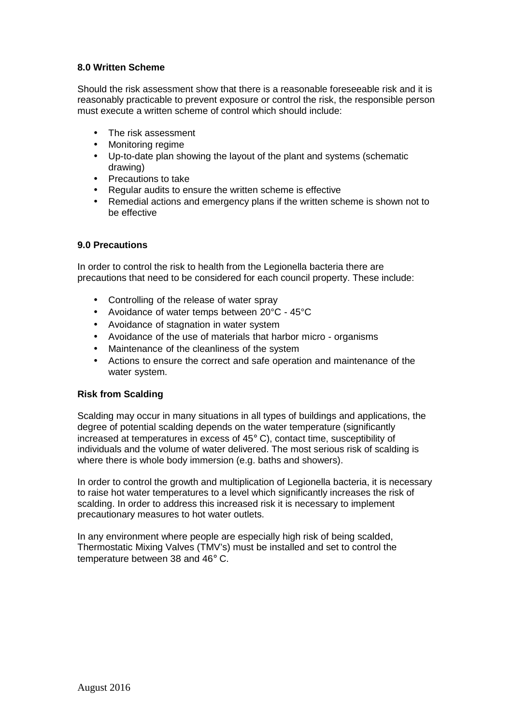## **8.0 Written Scheme**

Should the risk assessment show that there is a reasonable foreseeable risk and it is reasonably practicable to prevent exposure or control the risk, the responsible person must execute a written scheme of control which should include:

- The risk assessment
- Monitoring regime
- Up-to-date plan showing the layout of the plant and systems (schematic drawing)
- Precautions to take
- Regular audits to ensure the written scheme is effective
- Remedial actions and emergency plans if the written scheme is shown not to be effective

#### **9.0 Precautions**

In order to control the risk to health from the Legionella bacteria there are precautions that need to be considered for each council property. These include:

- Controlling of the release of water spray
- Avoidance of water temps between 20°C 45°C
- Avoidance of stagnation in water system
- Avoidance of the use of materials that harbor micro organisms
- Maintenance of the cleanliness of the system
- Actions to ensure the correct and safe operation and maintenance of the water system.

#### **Risk from Scalding**

Scalding may occur in many situations in all types of buildings and applications, the degree of potential scalding depends on the water temperature (significantly increased at temperatures in excess of 45° C), contact time, susceptibility of individuals and the volume of water delivered. The most serious risk of scalding is where there is whole body immersion (e.g. baths and showers).

In order to control the growth and multiplication of Legionella bacteria, it is necessary to raise hot water temperatures to a level which significantly increases the risk of scalding. In order to address this increased risk it is necessary to implement precautionary measures to hot water outlets.

In any environment where people are especially high risk of being scalded, Thermostatic Mixing Valves (TMV's) must be installed and set to control the temperature between 38 and 46° C.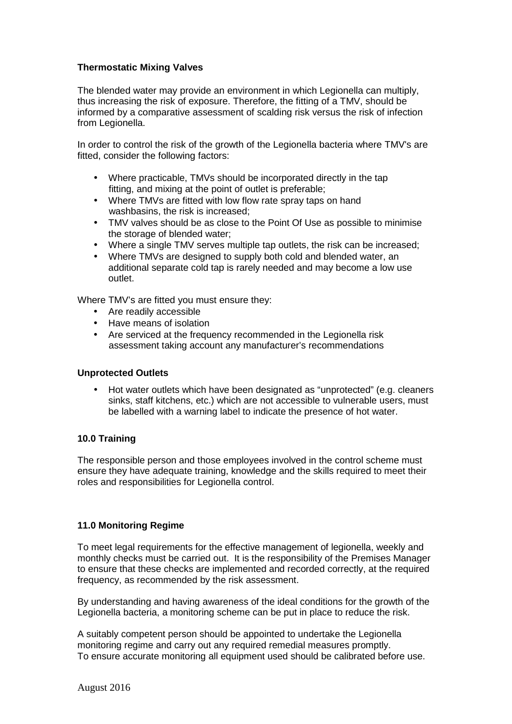## **Thermostatic Mixing Valves**

The blended water may provide an environment in which Legionella can multiply, thus increasing the risk of exposure. Therefore, the fitting of a TMV, should be informed by a comparative assessment of scalding risk versus the risk of infection from Legionella.

In order to control the risk of the growth of the Legionella bacteria where TMV's are fitted, consider the following factors:

- Where practicable, TMVs should be incorporated directly in the tap fitting, and mixing at the point of outlet is preferable;
- Where TMVs are fitted with low flow rate spray taps on hand washbasins, the risk is increased;
- TMV valves should be as close to the Point Of Use as possible to minimise the storage of blended water;
- Where a single TMV serves multiple tap outlets, the risk can be increased;
- Where TMVs are designed to supply both cold and blended water, an additional separate cold tap is rarely needed and may become a low use outlet.

Where TMV's are fitted you must ensure they:

- Are readily accessible
- Have means of isolation
- Are serviced at the frequency recommended in the Legionella risk assessment taking account any manufacturer's recommendations

#### **Unprotected Outlets**

• Hot water outlets which have been designated as "unprotected" (e.g. cleaners sinks, staff kitchens, etc.) which are not accessible to vulnerable users, must be labelled with a warning label to indicate the presence of hot water.

#### **10.0 Training**

The responsible person and those employees involved in the control scheme must ensure they have adequate training, knowledge and the skills required to meet their roles and responsibilities for Legionella control.

#### **11.0 Monitoring Regime**

To meet legal requirements for the effective management of legionella, weekly and monthly checks must be carried out. It is the responsibility of the Premises Manager to ensure that these checks are implemented and recorded correctly, at the required frequency, as recommended by the risk assessment.

By understanding and having awareness of the ideal conditions for the growth of the Legionella bacteria, a monitoring scheme can be put in place to reduce the risk.

A suitably competent person should be appointed to undertake the Legionella monitoring regime and carry out any required remedial measures promptly. To ensure accurate monitoring all equipment used should be calibrated before use.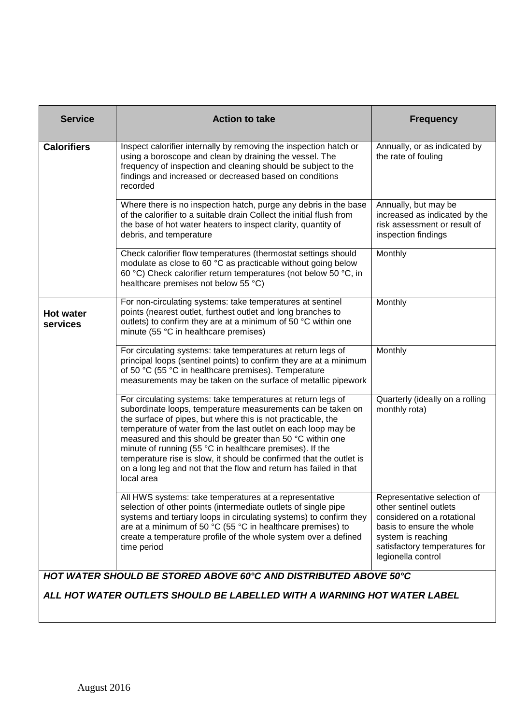| <b>Service</b>                                                                                                                              | <b>Action to take</b>                                                                                                                                                                                                                                                                                                                                                                                                                                                                                                                           | <b>Frequency</b>                                                                                                                                                                              |  |
|---------------------------------------------------------------------------------------------------------------------------------------------|-------------------------------------------------------------------------------------------------------------------------------------------------------------------------------------------------------------------------------------------------------------------------------------------------------------------------------------------------------------------------------------------------------------------------------------------------------------------------------------------------------------------------------------------------|-----------------------------------------------------------------------------------------------------------------------------------------------------------------------------------------------|--|
| <b>Calorifiers</b>                                                                                                                          | Inspect calorifier internally by removing the inspection hatch or<br>using a boroscope and clean by draining the vessel. The<br>frequency of inspection and cleaning should be subject to the<br>findings and increased or decreased based on conditions<br>recorded                                                                                                                                                                                                                                                                            | Annually, or as indicated by<br>the rate of fouling                                                                                                                                           |  |
|                                                                                                                                             | Where there is no inspection hatch, purge any debris in the base<br>of the calorifier to a suitable drain Collect the initial flush from<br>the base of hot water heaters to inspect clarity, quantity of<br>debris, and temperature                                                                                                                                                                                                                                                                                                            | Annually, but may be<br>increased as indicated by the<br>risk assessment or result of<br>inspection findings                                                                                  |  |
|                                                                                                                                             | Check calorifier flow temperatures (thermostat settings should<br>modulate as close to 60 °C as practicable without going below<br>60 °C) Check calorifier return temperatures (not below 50 °C, in<br>healthcare premises not below 55 °C)                                                                                                                                                                                                                                                                                                     | Monthly                                                                                                                                                                                       |  |
| <b>Hot water</b><br>services                                                                                                                | For non-circulating systems: take temperatures at sentinel<br>points (nearest outlet, furthest outlet and long branches to<br>outlets) to confirm they are at a minimum of 50 °C within one<br>minute (55 °C in healthcare premises)                                                                                                                                                                                                                                                                                                            | Monthly                                                                                                                                                                                       |  |
|                                                                                                                                             | For circulating systems: take temperatures at return legs of<br>principal loops (sentinel points) to confirm they are at a minimum<br>of 50 °C (55 °C in healthcare premises). Temperature<br>measurements may be taken on the surface of metallic pipework                                                                                                                                                                                                                                                                                     | Monthly                                                                                                                                                                                       |  |
|                                                                                                                                             | For circulating systems: take temperatures at return legs of<br>subordinate loops, temperature measurements can be taken on<br>the surface of pipes, but where this is not practicable, the<br>temperature of water from the last outlet on each loop may be<br>measured and this should be greater than 50 °C within one<br>minute of running (55 °C in healthcare premises). If the<br>temperature rise is slow, it should be confirmed that the outlet is<br>on a long leg and not that the flow and return has failed in that<br>local area | Quarterly (ideally on a rolling<br>monthly rota)                                                                                                                                              |  |
|                                                                                                                                             | All HWS systems: take temperatures at a representative<br>selection of other points (intermediate outlets of single pipe<br>systems and tertiary loops in circulating systems) to confirm they<br>are at a minimum of 50 °C (55 °C in healthcare premises) to<br>create a temperature profile of the whole system over a defined<br>time period                                                                                                                                                                                                 | Representative selection of<br>other sentinel outlets<br>considered on a rotational<br>basis to ensure the whole<br>system is reaching<br>satisfactory temperatures for<br>legionella control |  |
| HOT WATER SHOULD BE STORED ABOVE 60°C AND DISTRIBUTED ABOVE 50°C<br>ALL HOT WATER OUTLETS SHOULD BE LABELLED WITH A WARNING HOT WATER LABEL |                                                                                                                                                                                                                                                                                                                                                                                                                                                                                                                                                 |                                                                                                                                                                                               |  |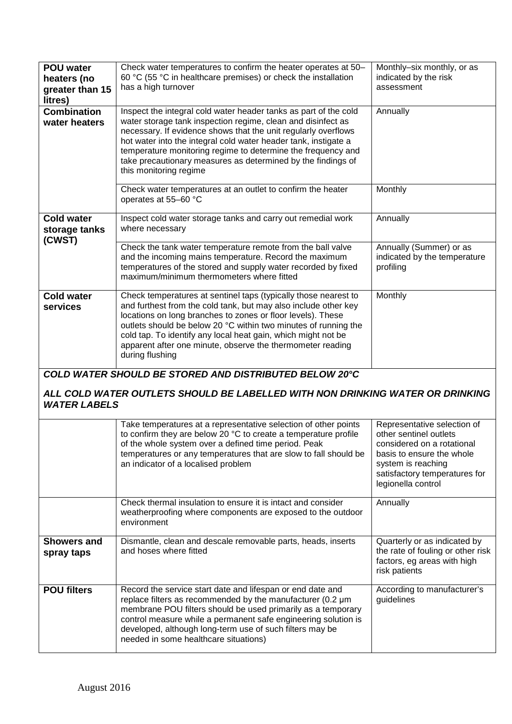| <b>POU water</b><br>heaters (no<br>greater than 15<br>litres)                                                                                                  | Check water temperatures to confirm the heater operates at 50-<br>60 °C (55 °C in healthcare premises) or check the installation<br>has a high turnover                                                                                                                                                                                                                                                                         | Monthly-six monthly, or as<br>indicated by the risk<br>assessment                                                                                                                             |  |  |
|----------------------------------------------------------------------------------------------------------------------------------------------------------------|---------------------------------------------------------------------------------------------------------------------------------------------------------------------------------------------------------------------------------------------------------------------------------------------------------------------------------------------------------------------------------------------------------------------------------|-----------------------------------------------------------------------------------------------------------------------------------------------------------------------------------------------|--|--|
| <b>Combination</b><br>water heaters                                                                                                                            | Inspect the integral cold water header tanks as part of the cold<br>water storage tank inspection regime, clean and disinfect as<br>necessary. If evidence shows that the unit regularly overflows<br>hot water into the integral cold water header tank, instigate a<br>temperature monitoring regime to determine the frequency and<br>take precautionary measures as determined by the findings of<br>this monitoring regime | Annually                                                                                                                                                                                      |  |  |
|                                                                                                                                                                | Check water temperatures at an outlet to confirm the heater<br>operates at 55-60 °C                                                                                                                                                                                                                                                                                                                                             | Monthly                                                                                                                                                                                       |  |  |
| <b>Cold water</b><br>storage tanks<br>(CWST)                                                                                                                   | Inspect cold water storage tanks and carry out remedial work<br>where necessary                                                                                                                                                                                                                                                                                                                                                 | Annually                                                                                                                                                                                      |  |  |
|                                                                                                                                                                | Check the tank water temperature remote from the ball valve<br>and the incoming mains temperature. Record the maximum<br>temperatures of the stored and supply water recorded by fixed<br>maximum/minimum thermometers where fitted                                                                                                                                                                                             | Annually (Summer) or as<br>indicated by the temperature<br>profiling                                                                                                                          |  |  |
| <b>Cold water</b><br>services                                                                                                                                  | Check temperatures at sentinel taps (typically those nearest to<br>and furthest from the cold tank, but may also include other key<br>locations on long branches to zones or floor levels). These<br>outlets should be below 20 °C within two minutes of running the<br>cold tap. To identify any local heat gain, which might not be<br>apparent after one minute, observe the thermometer reading<br>during flushing          | Monthly                                                                                                                                                                                       |  |  |
| COLD WATER SHOULD BE STORED AND DISTRIBUTED BELOW 20°C<br>ALL COLD WATER OUTLETS SHOULD BE LABELLED WITH NON DRINKING WATER OR DRINKING<br><b>WATER LABELS</b> |                                                                                                                                                                                                                                                                                                                                                                                                                                 |                                                                                                                                                                                               |  |  |
|                                                                                                                                                                | Take temperatures at a representative selection of other points<br>to confirm they are below 20 °C to create a temperature profile<br>of the whole system over a defined time period. Peak<br>temperatures or any temperatures that are slow to fall should be<br>an indicator of a localised problem                                                                                                                           | Representative selection of<br>other sentinel outlets<br>considered on a rotational<br>basis to ensure the whole<br>system is reaching<br>satisfactory temperatures for<br>legionella control |  |  |
|                                                                                                                                                                | Check thermal insulation to ensure it is intact and consider<br>weatherproofing where components are exposed to the outdoor<br>environment                                                                                                                                                                                                                                                                                      | Annually                                                                                                                                                                                      |  |  |
| <b>Showers and</b><br>spray taps                                                                                                                               | Dismantle, clean and descale removable parts, heads, inserts<br>and hoses where fitted                                                                                                                                                                                                                                                                                                                                          | Quarterly or as indicated by<br>the rate of fouling or other risk<br>factors, eg areas with high<br>risk patients                                                                             |  |  |
| <b>POU filters</b>                                                                                                                                             | Record the service start date and lifespan or end date and<br>replace filters as recommended by the manufacturer (0.2 µm<br>membrane POU filters should be used primarily as a temporary<br>control measure while a permanent safe engineering solution is<br>developed, although long-term use of such filters may be<br>needed in some healthcare situations)                                                                 | According to manufacturer's<br>guidelines                                                                                                                                                     |  |  |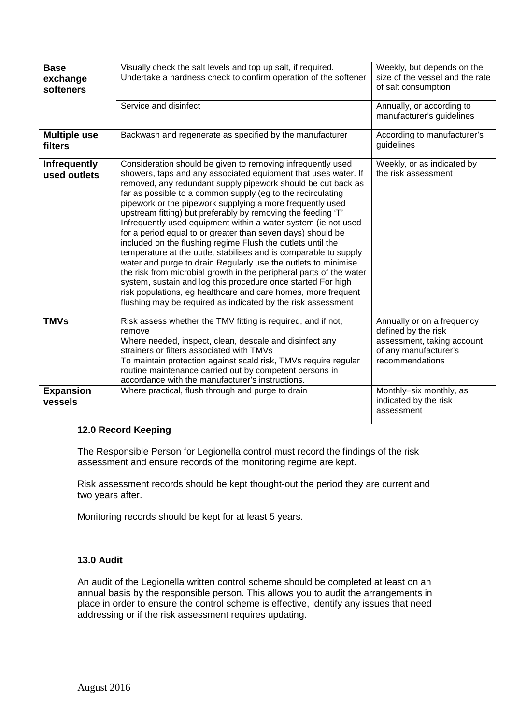| <b>Base</b><br>exchange<br>softeners | Visually check the salt levels and top up salt, if required.<br>Undertake a hardness check to confirm operation of the softener                                                                                                                                                                                                                                                                                                                                                                                                                                                                                                                                                                                                                                                                                                                                                                                                                                                                         | Weekly, but depends on the<br>size of the vessel and the rate<br>of salt consumption                                        |
|--------------------------------------|---------------------------------------------------------------------------------------------------------------------------------------------------------------------------------------------------------------------------------------------------------------------------------------------------------------------------------------------------------------------------------------------------------------------------------------------------------------------------------------------------------------------------------------------------------------------------------------------------------------------------------------------------------------------------------------------------------------------------------------------------------------------------------------------------------------------------------------------------------------------------------------------------------------------------------------------------------------------------------------------------------|-----------------------------------------------------------------------------------------------------------------------------|
|                                      | Service and disinfect                                                                                                                                                                                                                                                                                                                                                                                                                                                                                                                                                                                                                                                                                                                                                                                                                                                                                                                                                                                   | Annually, or according to<br>manufacturer's guidelines                                                                      |
| <b>Multiple use</b><br>filters       | Backwash and regenerate as specified by the manufacturer                                                                                                                                                                                                                                                                                                                                                                                                                                                                                                                                                                                                                                                                                                                                                                                                                                                                                                                                                | According to manufacturer's<br>guidelines                                                                                   |
| <b>Infrequently</b><br>used outlets  | Consideration should be given to removing infrequently used<br>showers, taps and any associated equipment that uses water. If<br>removed, any redundant supply pipework should be cut back as<br>far as possible to a common supply (eg to the recirculating<br>pipework or the pipework supplying a more frequently used<br>upstream fitting) but preferably by removing the feeding 'T'<br>Infrequently used equipment within a water system (ie not used<br>for a period equal to or greater than seven days) should be<br>included on the flushing regime Flush the outlets until the<br>temperature at the outlet stabilises and is comparable to supply<br>water and purge to drain Regularly use the outlets to minimise<br>the risk from microbial growth in the peripheral parts of the water<br>system, sustain and log this procedure once started For high<br>risk populations, eg healthcare and care homes, more frequent<br>flushing may be required as indicated by the risk assessment | Weekly, or as indicated by<br>the risk assessment                                                                           |
| <b>TMVs</b>                          | Risk assess whether the TMV fitting is required, and if not,<br>remove<br>Where needed, inspect, clean, descale and disinfect any<br>strainers or filters associated with TMVs<br>To maintain protection against scald risk, TMVs require regular<br>routine maintenance carried out by competent persons in<br>accordance with the manufacturer's instructions.                                                                                                                                                                                                                                                                                                                                                                                                                                                                                                                                                                                                                                        | Annually or on a frequency<br>defined by the risk<br>assessment, taking account<br>of any manufacturer's<br>recommendations |
| <b>Expansion</b><br>vessels          | Where practical, flush through and purge to drain                                                                                                                                                                                                                                                                                                                                                                                                                                                                                                                                                                                                                                                                                                                                                                                                                                                                                                                                                       | Monthly-six monthly, as<br>indicated by the risk<br>assessment                                                              |

#### **12.0 Record Keeping**

The Responsible Person for Legionella control must record the findings of the risk assessment and ensure records of the monitoring regime are kept.

Risk assessment records should be kept thought-out the period they are current and two years after.

Monitoring records should be kept for at least 5 years.

## **13.0 Audit**

An audit of the Legionella written control scheme should be completed at least on an annual basis by the responsible person. This allows you to audit the arrangements in place in order to ensure the control scheme is effective, identify any issues that need addressing or if the risk assessment requires updating.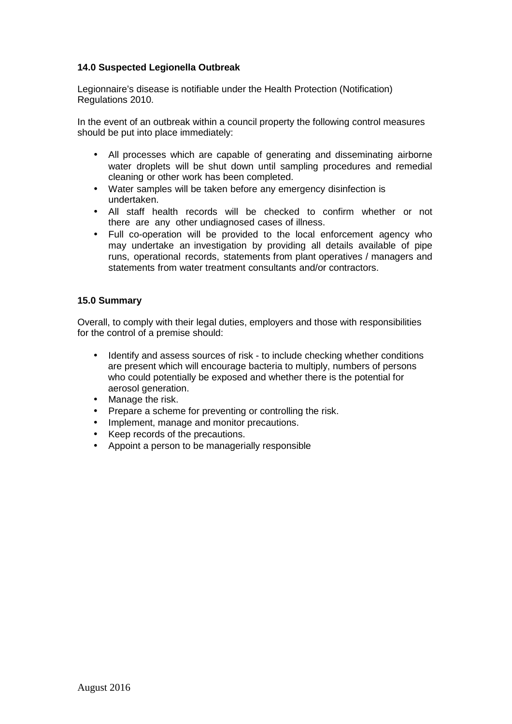## **14.0 Suspected Legionella Outbreak**

Legionnaire's disease is notifiable under the Health Protection (Notification) Regulations 2010.

In the event of an outbreak within a council property the following control measures should be put into place immediately:

- All processes which are capable of generating and disseminating airborne water droplets will be shut down until sampling procedures and remedial cleaning or other work has been completed.
- Water samples will be taken before any emergency disinfection is undertaken.
- All staff health records will be checked to confirm whether or not there are any other undiagnosed cases of illness.
- Full co-operation will be provided to the local enforcement agency who may undertake an investigation by providing all details available of pipe runs, operational records, statements from plant operatives / managers and statements from water treatment consultants and/or contractors.

#### **15.0 Summary**

Overall, to comply with their legal duties, employers and those with responsibilities for the control of a premise should:

- Identify and assess sources of risk to include checking whether conditions are present which will encourage bacteria to multiply, numbers of persons who could potentially be exposed and whether there is the potential for aerosol generation.
- Manage the risk.
- Prepare a scheme for preventing or controlling the risk.
- Implement, manage and monitor precautions.
- Keep records of the precautions.
- Appoint a person to be managerially responsible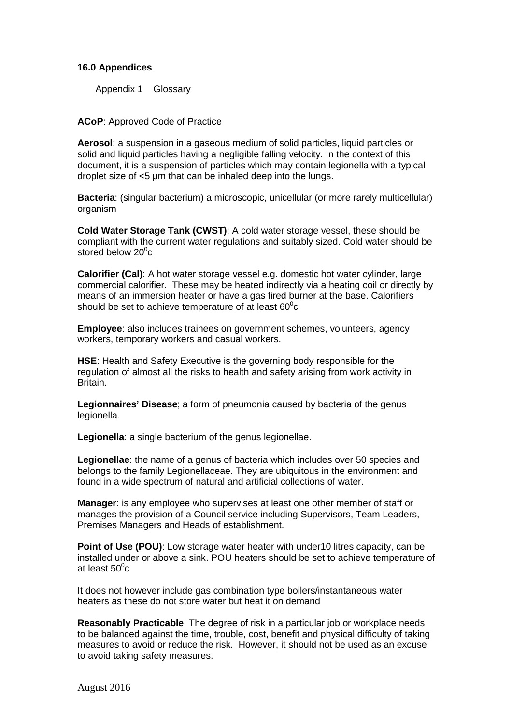#### **16.0 Appendices**

Appendix 1 Glossary

**ACoP**: Approved Code of Practice

**Aerosol**: a suspension in a gaseous medium of solid particles, liquid particles or solid and liquid particles having a negligible falling velocity. In the context of this document, it is a suspension of particles which may contain legionella with a typical droplet size of <5 µm that can be inhaled deep into the lungs.

**Bacteria**: (singular bacterium) a microscopic, unicellular (or more rarely multicellular) organism

**Cold Water Storage Tank (CWST)**: A cold water storage vessel, these should be compliant with the current water regulations and suitably sized. Cold water should be stored below 20 $\mathrm{^0c}$ 

**Calorifier (Cal)**: A hot water storage vessel e.g. domestic hot water cylinder, large commercial calorifier. These may be heated indirectly via a heating coil or directly by means of an immersion heater or have a gas fired burner at the base. Calorifiers should be set to achieve temperature of at least 60 $\rm ^{o}$ c

**Employee**: also includes trainees on government schemes, volunteers, agency workers, temporary workers and casual workers.

**HSE**: Health and Safety Executive is the governing body responsible for the regulation of almost all the risks to health and safety arising from work activity in Britain.

**Legionnaires' Disease**; a form of pneumonia caused by bacteria of the genus legionella.

**Legionella**: a single bacterium of the genus legionellae.

**Legionellae**: the name of a genus of bacteria which includes over 50 species and belongs to the family Legionellaceae. They are ubiquitous in the environment and found in a wide spectrum of natural and artificial collections of water.

**Manager**: is any employee who supervises at least one other member of staff or manages the provision of a Council service including Supervisors, Team Leaders, Premises Managers and Heads of establishment.

**Point of Use (POU)**: Low storage water heater with under10 litres capacity, can be installed under or above a sink. POU heaters should be set to achieve temperature of at least 50 $^{\rm o}$ c

It does not however include gas combination type boilers/instantaneous water heaters as these do not store water but heat it on demand

**Reasonably Practicable**: The degree of risk in a particular job or workplace needs to be balanced against the time, trouble, cost, benefit and physical difficulty of taking measures to avoid or reduce the risk. However, it should not be used as an excuse to avoid taking safety measures.